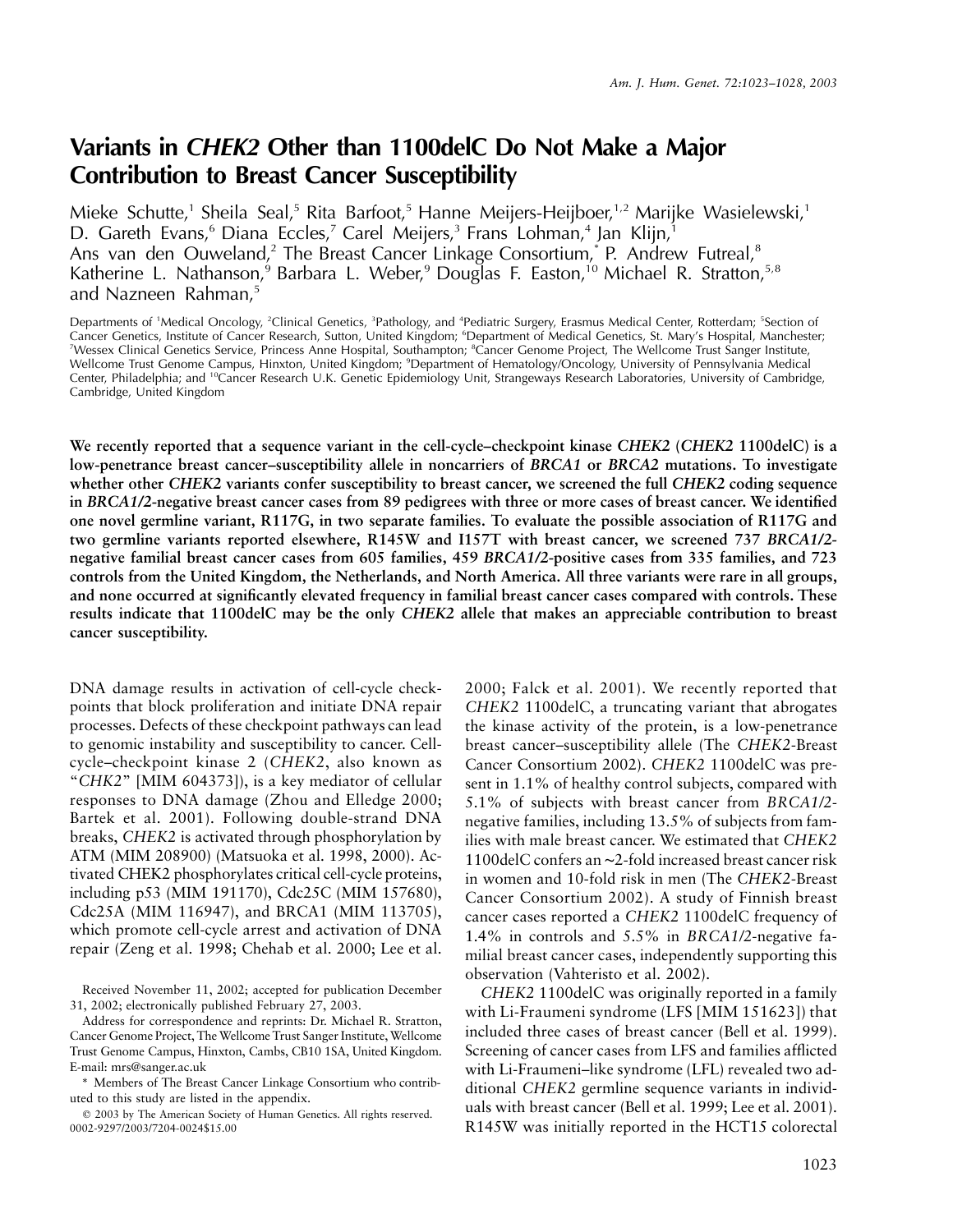# **Variants in** *CHEK2* **Other than 1100delC Do Not Make a Major Contribution to Breast Cancer Susceptibility**

Mieke Schutte,<sup>1</sup> Sheila Seal,<sup>5</sup> Rita Barfoot,<sup>5</sup> Hanne Meijers-Heijboer,<sup>1,2</sup> Marijke Wasielewski,<sup>1</sup> D. Gareth Evans,<sup>6</sup> Diana Eccles,<sup>7</sup> Carel Meijers,<sup>3</sup> Frans Lohman,<sup>4</sup> Jan Klijn,<sup>1</sup> Ans van den Ouweland,<sup>2</sup> The Breast Cancer Linkage Consortium,<sup>\*</sup> P. Andrew Futreal,<sup>8</sup> Katherine L. Nathanson,<sup>9</sup> Barbara L. Weber,<sup>9</sup> Douglas F. Easton,<sup>10</sup> Michael R. Stratton,<sup>5,8</sup> and Nazneen Rahman,<sup>5</sup>

Departments of <sup>1</sup>Medical Oncology, <sup>2</sup>Clinical Genetics, <sup>3</sup>Pathology, and <sup>4</sup>Pediatric Surgery, Erasmus Medical Center, Rotterdam; <sup>5</sup>Section of Cancer Genetics, Institute of Cancer Research, Sutton, United Kingdom; <sup>6</sup>Department of Medical Genetics, St. Mary's Hospital, Manchester; <sup>7</sup>Wessex Clinical Genetics Service, Princess Anne Hospital, Southampton; <sup>8</sup>Cancer Genome Project, The Wellcome Trust Sanger Institute, Wellcome Trust Genome Campus, Hinxton, United Kingdom; <sup>9</sup> Department of Hematology/Oncology, University of Pennsylvania Medical Center, Philadelphia; and <sup>10</sup>Cancer Research U.K. Genetic Epidemiology Unit, Strangeways Research Laboratories, University of Cambridge, Cambridge, United Kingdom

**We recently reported that a sequence variant in the cell-cycle–checkpoint kinase** *CHEK2* **(***CHEK2* **1100delC) is a low-penetrance breast cancer–susceptibility allele in noncarriers of** *BRCA1* **or** *BRCA2* **mutations. To investigate whether other** *CHEK2* **variants confer susceptibility to breast cancer, we screened the full** *CHEK2* **coding sequence in** *BRCA1/2***-negative breast cancer cases from 89 pedigrees with three or more cases of breast cancer. We identified one novel germline variant, R117G, in two separate families. To evaluate the possible association of R117G and two germline variants reported elsewhere, R145W and I157T with breast cancer, we screened 737** *BRCA1/2* **negative familial breast cancer cases from 605 families, 459** *BRCA1/2***-positive cases from 335 families, and 723 controls from the United Kingdom, the Netherlands, and North America. All three variants were rare in all groups, and none occurred at significantly elevated frequency in familial breast cancer cases compared with controls. These results indicate that 1100delC may be the only** *CHEK2* **allele that makes an appreciable contribution to breast cancer susceptibility.**

DNA damage results in activation of cell-cycle checkpoints that block proliferation and initiate DNA repair processes. Defects of these checkpoint pathways can lead to genomic instability and susceptibility to cancer. Cellcycle–checkpoint kinase 2 (*CHEK2*, also known as "*CHK2*" [MIM 604373]), is a key mediator of cellular responses to DNA damage (Zhou and Elledge 2000; Bartek et al. 2001). Following double-strand DNA breaks, *CHEK2* is activated through phosphorylation by ATM (MIM 208900) (Matsuoka et al. 1998, 2000). Activated CHEK2 phosphorylates critical cell-cycle proteins, including p53 (MIM 191170), Cdc25C (MIM 157680), Cdc25A (MIM 116947), and BRCA1 (MIM 113705), which promote cell-cycle arrest and activation of DNA repair (Zeng et al. 1998; Chehab et al. 2000; Lee et al.

2000; Falck et al. 2001). We recently reported that *CHEK2* 1100delC, a truncating variant that abrogates the kinase activity of the protein, is a low-penetrance breast cancer–susceptibility allele (The *CHEK2*-Breast Cancer Consortium 2002). *CHEK2* 1100delC was present in 1.1% of healthy control subjects, compared with 5.1% of subjects with breast cancer from *BRCA1/2* negative families, including 13.5% of subjects from families with male breast cancer. We estimated that *CHEK2* 1100delC confers an ∼2-fold increased breast cancer risk in women and 10-fold risk in men (The *CHEK2*-Breast Cancer Consortium 2002). A study of Finnish breast cancer cases reported a *CHEK2* 1100delC frequency of 1.4% in controls and 5.5% in *BRCA1/2*-negative familial breast cancer cases, independently supporting this observation (Vahteristo et al. 2002).

*CHEK2* 1100delC was originally reported in a family with Li-Fraumeni syndrome (LFS [MIM 151623]) that included three cases of breast cancer (Bell et al. 1999). Screening of cancer cases from LFS and families afflicted with Li-Fraumeni–like syndrome (LFL) revealed two additional *CHEK2* germline sequence variants in individuals with breast cancer (Bell et al. 1999; Lee et al. 2001). R145W was initially reported in the HCT15 colorectal

Received November 11, 2002; accepted for publication December 31, 2002; electronically published February 27, 2003.

Address for correspondence and reprints: Dr. Michael R. Stratton, Cancer Genome Project, The Wellcome Trust Sanger Institute, Wellcome Trust Genome Campus, Hinxton, Cambs, CB10 1SA, United Kingdom. E-mail: mrs@sanger.ac.uk

<sup>\*</sup> Members of The Breast Cancer Linkage Consortium who contributed to this study are listed in the appendix.

2003 by The American Society of Human Genetics. All rights reserved. 0002-9297/2003/7204-0024\$15.00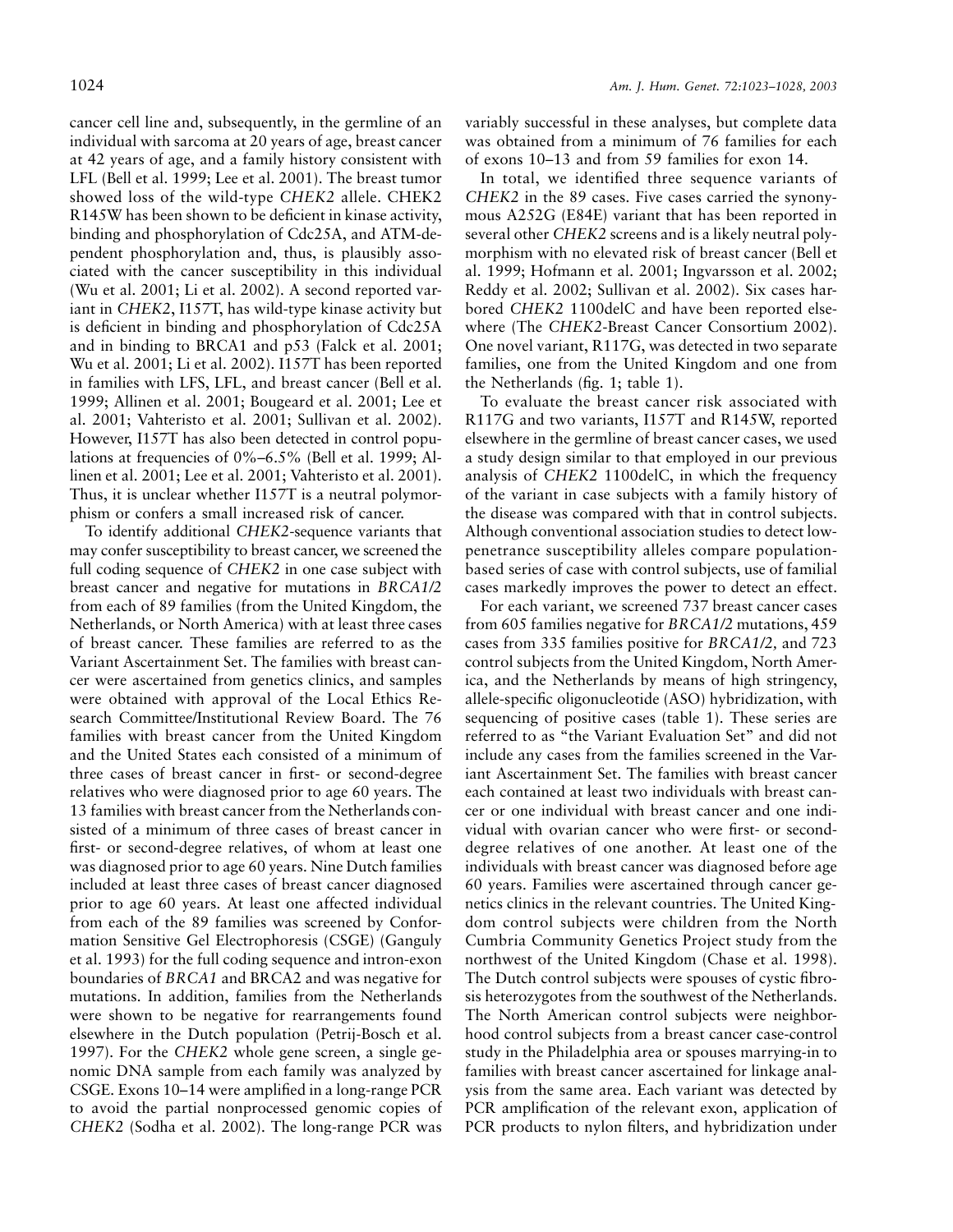cancer cell line and, subsequently, in the germline of an individual with sarcoma at 20 years of age, breast cancer at 42 years of age, and a family history consistent with LFL (Bell et al. 1999; Lee et al. 2001). The breast tumor showed loss of the wild-type *CHEK2* allele. CHEK2 R145W has been shown to be deficient in kinase activity, binding and phosphorylation of Cdc25A, and ATM-dependent phosphorylation and, thus, is plausibly associated with the cancer susceptibility in this individual (Wu et al. 2001; Li et al. 2002). A second reported variant in *CHEK2*, I157T, has wild-type kinase activity but is deficient in binding and phosphorylation of Cdc25A and in binding to BRCA1 and p53 (Falck et al. 2001; Wu et al. 2001; Li et al. 2002). I157T has been reported in families with LFS, LFL, and breast cancer (Bell et al. 1999; Allinen et al. 2001; Bougeard et al. 2001; Lee et al. 2001; Vahteristo et al. 2001; Sullivan et al. 2002). However, I157T has also been detected in control populations at frequencies of 0%–6.5% (Bell et al. 1999; Allinen et al. 2001; Lee et al. 2001; Vahteristo et al. 2001). Thus, it is unclear whether I157T is a neutral polymorphism or confers a small increased risk of cancer.

To identify additional *CHEK2*-sequence variants that may confer susceptibility to breast cancer, we screened the full coding sequence of *CHEK2* in one case subject with breast cancer and negative for mutations in *BRCA1/2* from each of 89 families (from the United Kingdom, the Netherlands, or North America) with at least three cases of breast cancer. These families are referred to as the Variant Ascertainment Set. The families with breast cancer were ascertained from genetics clinics, and samples were obtained with approval of the Local Ethics Research Committee/Institutional Review Board. The 76 families with breast cancer from the United Kingdom and the United States each consisted of a minimum of three cases of breast cancer in first- or second-degree relatives who were diagnosed prior to age 60 years. The 13 families with breast cancer from the Netherlands consisted of a minimum of three cases of breast cancer in first- or second-degree relatives, of whom at least one was diagnosed prior to age 60 years. Nine Dutch families included at least three cases of breast cancer diagnosed prior to age 60 years. At least one affected individual from each of the 89 families was screened by Conformation Sensitive Gel Electrophoresis (CSGE) (Ganguly et al. 1993) for the full coding sequence and intron-exon boundaries of *BRCA1* and BRCA2 and was negative for mutations. In addition, families from the Netherlands were shown to be negative for rearrangements found elsewhere in the Dutch population (Petrij-Bosch et al. 1997). For the *CHEK2* whole gene screen, a single genomic DNA sample from each family was analyzed by CSGE. Exons 10–14 were amplified in a long-range PCR to avoid the partial nonprocessed genomic copies of *CHEK2* (Sodha et al. 2002). The long-range PCR was

variably successful in these analyses, but complete data was obtained from a minimum of 76 families for each of exons 10–13 and from 59 families for exon 14.

In total, we identified three sequence variants of *CHEK2* in the 89 cases. Five cases carried the synonymous A252G (E84E) variant that has been reported in several other *CHEK2* screens and is a likely neutral polymorphism with no elevated risk of breast cancer (Bell et al. 1999; Hofmann et al. 2001; Ingvarsson et al. 2002; Reddy et al. 2002; Sullivan et al. 2002). Six cases harbored *CHEK2* 1100delC and have been reported elsewhere (The *CHEK2*-Breast Cancer Consortium 2002). One novel variant, R117G, was detected in two separate families, one from the United Kingdom and one from the Netherlands (fig. 1; table 1).

To evaluate the breast cancer risk associated with R117G and two variants, I157T and R145W, reported elsewhere in the germline of breast cancer cases, we used a study design similar to that employed in our previous analysis of *CHEK2* 1100delC, in which the frequency of the variant in case subjects with a family history of the disease was compared with that in control subjects. Although conventional association studies to detect lowpenetrance susceptibility alleles compare populationbased series of case with control subjects, use of familial cases markedly improves the power to detect an effect.

For each variant, we screened 737 breast cancer cases from 605 families negative for *BRCA1/2* mutations, 459 cases from 335 families positive for *BRCA1/2,* and 723 control subjects from the United Kingdom, North America, and the Netherlands by means of high stringency, allele-specific oligonucleotide (ASO) hybridization, with sequencing of positive cases (table 1). These series are referred to as "the Variant Evaluation Set" and did not include any cases from the families screened in the Variant Ascertainment Set. The families with breast cancer each contained at least two individuals with breast cancer or one individual with breast cancer and one individual with ovarian cancer who were first- or seconddegree relatives of one another. At least one of the individuals with breast cancer was diagnosed before age 60 years. Families were ascertained through cancer genetics clinics in the relevant countries. The United Kingdom control subjects were children from the North Cumbria Community Genetics Project study from the northwest of the United Kingdom (Chase et al. 1998). The Dutch control subjects were spouses of cystic fibrosis heterozygotes from the southwest of the Netherlands. The North American control subjects were neighborhood control subjects from a breast cancer case-control study in the Philadelphia area or spouses marrying-in to families with breast cancer ascertained for linkage analysis from the same area. Each variant was detected by PCR amplification of the relevant exon, application of PCR products to nylon filters, and hybridization under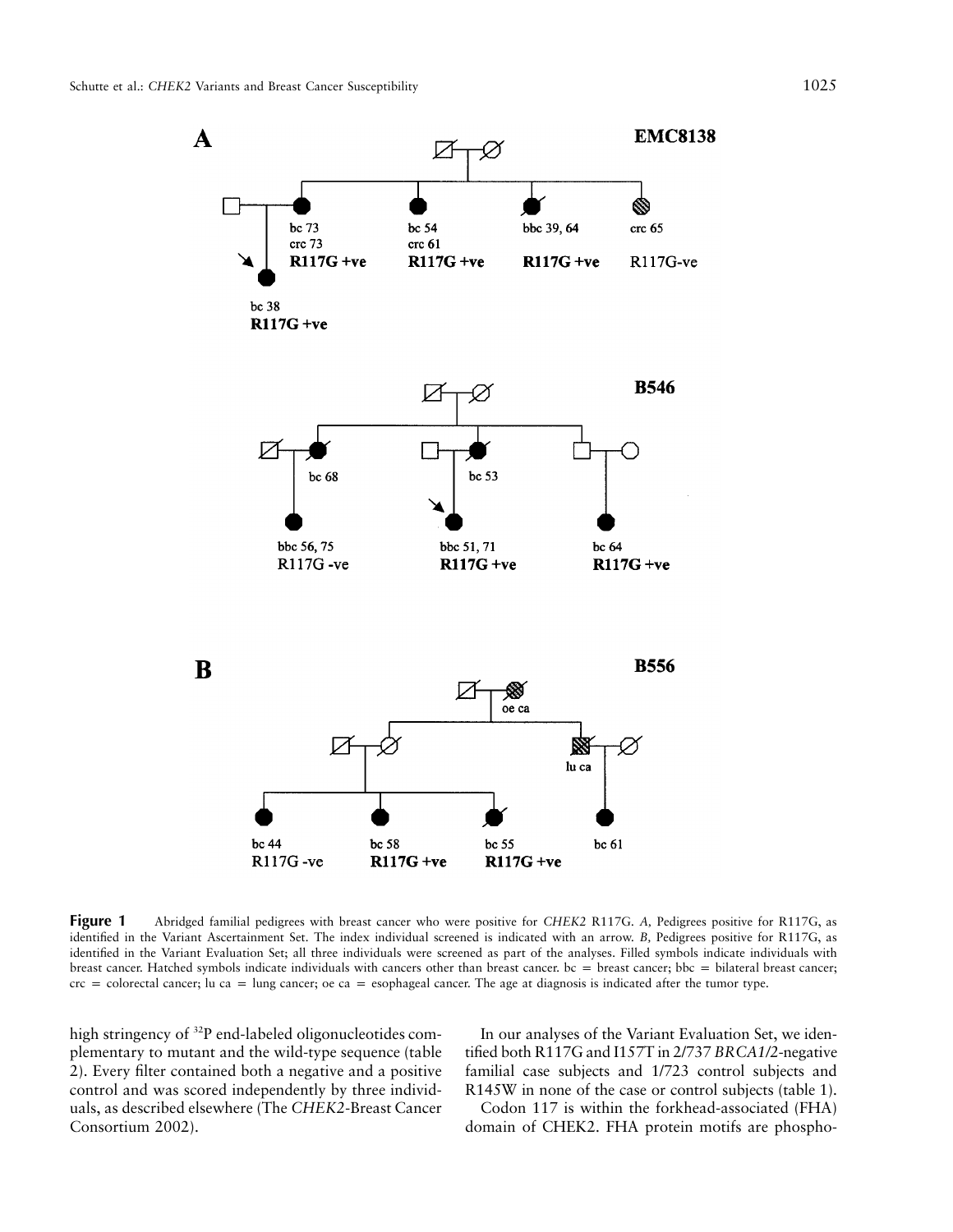

**Figure 1** Abridged familial pedigrees with breast cancer who were positive for *CHEK2* R117G. *A,* Pedigrees positive for R117G, as identified in the Variant Ascertainment Set. The index individual screened is indicated with an arrow. *B,* Pedigrees positive for R117G, as identified in the Variant Evaluation Set; all three individuals were screened as part of the analyses. Filled symbols indicate individuals with breast cancer. Hatched symbols indicate individuals with cancers other than breast cancer. bc = breast cancer; bbc = bilateral breast cancer;  $\text{circ} = \text{colorectal cancer; } \text{lu ca} = \text{lung cancer; } \text{oe ca} = \text{esophageal cancer.}$  The age at diagnosis is indicated after the tumor type.

high stringency of <sup>32</sup>P end-labeled oligonucleotides complementary to mutant and the wild-type sequence (table 2). Every filter contained both a negative and a positive control and was scored independently by three individuals, as described elsewhere (The *CHEK2*-Breast Cancer Consortium 2002).

In our analyses of the Variant Evaluation Set, we identified both R117G and I157T in 2/737 *BRCA1/2*-negative familial case subjects and 1/723 control subjects and R145W in none of the case or control subjects (table 1).

Codon 117 is within the forkhead-associated (FHA) domain of CHEK2. FHA protein motifs are phospho-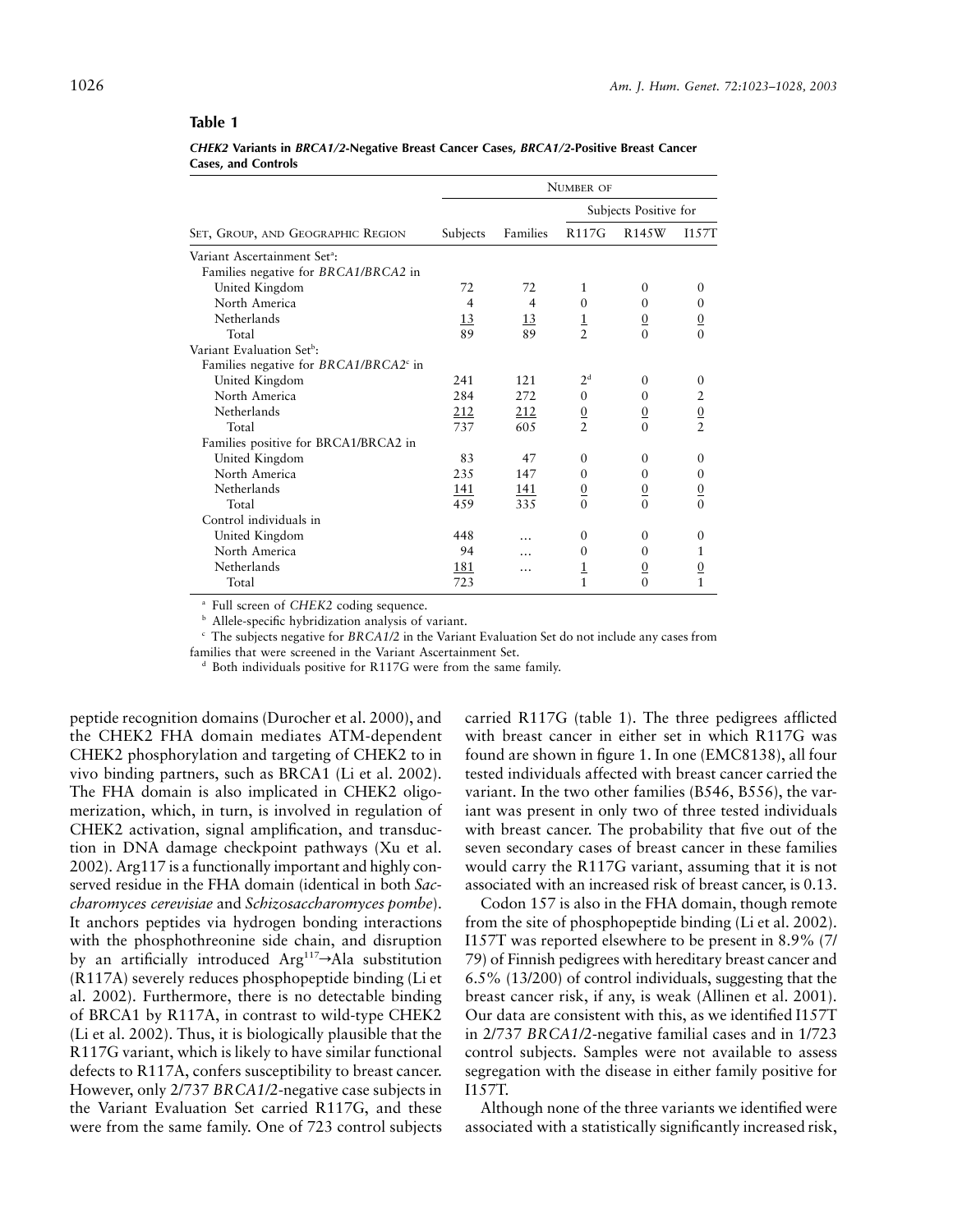### **Table 1**

|                                          | <b>NUMBER OF</b> |                |                |                       |                |
|------------------------------------------|------------------|----------------|----------------|-----------------------|----------------|
|                                          |                  |                |                | Subjects Positive for |                |
| SET, GROUP, AND GEOGRAPHIC REGION        | Subjects         | Families       | <b>R117G</b>   | R <sub>145</sub> W    | 1157T          |
| Variant Ascertainment Set <sup>a</sup> : |                  |                |                |                       |                |
| Families negative for BRCA1/BRCA2 in     |                  |                |                |                       |                |
| United Kingdom                           | 72               | 72             | $\mathbf{1}$   | $\Omega$              | $\Omega$       |
| North America                            | $\overline{4}$   | $\overline{4}$ | $\Omega$       | 0                     | 0              |
| Netherlands                              | <u>13</u>        | <u>13</u>      |                | $\overline{0}$        | $\overline{0}$ |
| Total                                    | 89               | 89             | $\frac{1}{2}$  | $\Omega$              | $\Omega$       |
| Variant Evaluation Set <sup>b</sup> :    |                  |                |                |                       |                |
| Families negative for $BRCA1/BRCA2c$ in  |                  |                |                |                       |                |
| United Kingdom                           | 241              | 121            | 2 <sup>d</sup> | $\Omega$              | $\Omega$       |
| North America                            | 284              | 272            | $\Omega$       | 0                     | $\overline{2}$ |
| Netherlands                              | 212              | <u>212</u>     | $\frac{0}{2}$  |                       | $\frac{0}{2}$  |
| Total                                    | 737              | 605            |                | $\frac{0}{0}$         |                |
| Families positive for BRCA1/BRCA2 in     |                  |                |                |                       |                |
| United Kingdom                           | 83               | 47             | $\Omega$       | 0                     | $\Omega$       |
| North America                            | 235              | 147            | $\Omega$       | 0                     | 0              |
| Netherlands                              | <u>141</u>       | <u>141</u>     | $\overline{0}$ | $\overline{0}$        | $\overline{0}$ |
| Total                                    | 459              | 335            | $\Omega$       | $\Omega$              | $\Omega$       |
| Control individuals in                   |                  |                |                |                       |                |
| United Kingdom                           | 448              |                | $\Omega$       | 0                     | $\Omega$       |
| North America                            | 94               |                | $\Omega$       | $\Omega$              | 1              |
| Netherlands                              | 181              | .              | $\overline{1}$ | $\overline{0}$        | $\overline{0}$ |
| Total                                    | 723              |                | 1              | $\theta$              |                |

## *CHEK2* **Variants in** *BRCA1/2***-Negative Breast Cancer Cases,** *BRCA1/2***-Positive Breast Cancer Cases, and Controls**

<sup>a</sup> Full screen of *CHEK2* coding sequence.

**b** Allele-specific hybridization analysis of variant.

<sup>c</sup> The subjects negative for *BRCA1/2* in the Variant Evaluation Set do not include any cases from

families that were screened in the Variant Ascertainment Set.

<sup>d</sup> Both individuals positive for R117G were from the same family.

peptide recognition domains (Durocher et al. 2000), and the CHEK2 FHA domain mediates ATM-dependent CHEK2 phosphorylation and targeting of CHEK2 to in vivo binding partners, such as BRCA1 (Li et al. 2002). The FHA domain is also implicated in CHEK2 oligomerization, which, in turn, is involved in regulation of CHEK2 activation, signal amplification, and transduction in DNA damage checkpoint pathways (Xu et al. 2002). Arg117 is a functionally important and highly conserved residue in the FHA domain (identical in both *Saccharomyces cerevisiae* and *Schizosaccharomyces pombe*). It anchors peptides via hydrogen bonding interactions with the phosphothreonine side chain, and disruption by an artificially introduced  $Arg<sup>117</sup>\rightarrow Ala$  substitution (R117A) severely reduces phosphopeptide binding (Li et al. 2002). Furthermore, there is no detectable binding of BRCA1 by R117A, in contrast to wild-type CHEK2 (Li et al. 2002). Thus, it is biologically plausible that the R117G variant, which is likely to have similar functional defects to R117A, confers susceptibility to breast cancer. However, only 2/737 *BRCA1/2*-negative case subjects in the Variant Evaluation Set carried R117G, and these were from the same family. One of 723 control subjects carried R117G (table 1). The three pedigrees afflicted with breast cancer in either set in which R117G was found are shown in figure 1. In one (EMC8138), all four tested individuals affected with breast cancer carried the variant. In the two other families (B546, B556), the variant was present in only two of three tested individuals with breast cancer. The probability that five out of the seven secondary cases of breast cancer in these families would carry the R117G variant, assuming that it is not associated with an increased risk of breast cancer, is 0.13.

Codon 157 is also in the FHA domain, though remote from the site of phosphopeptide binding (Li et al. 2002). I157T was reported elsewhere to be present in 8.9% (7/ 79) of Finnish pedigrees with hereditary breast cancer and 6.5% (13/200) of control individuals, suggesting that the breast cancer risk, if any, is weak (Allinen et al. 2001). Our data are consistent with this, as we identified I157T in 2/737 *BRCA1/2*-negative familial cases and in 1/723 control subjects. Samples were not available to assess segregation with the disease in either family positive for I157T.

Although none of the three variants we identified were associated with a statistically significantly increased risk,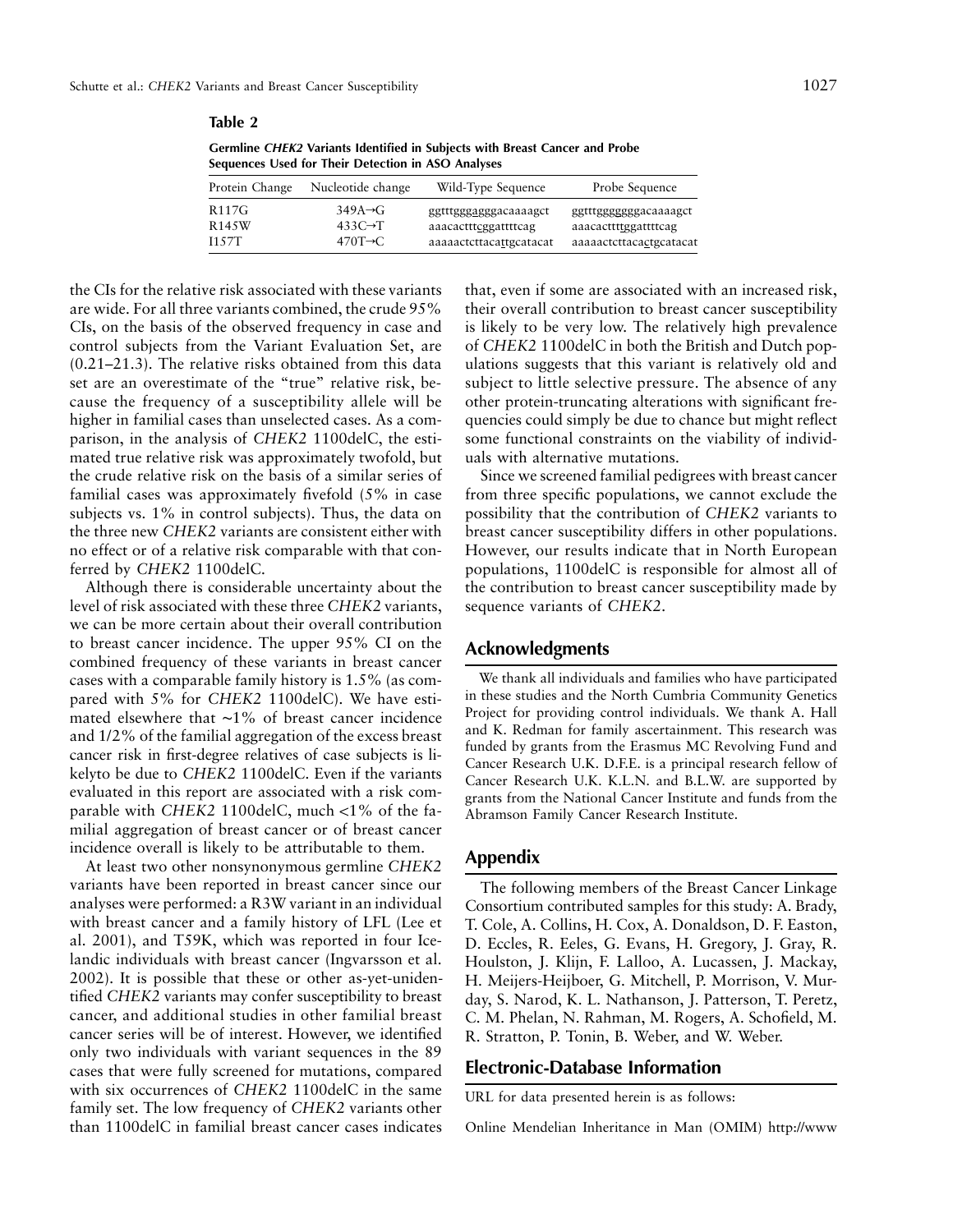#### **Table 2**

**Germline** *CHEK2* **Variants Identified in Subjects with Breast Cancer and Probe Sequences Used for Their Detection in ASO Analyses**

| Protein Change     | Nucleotide change    | Wild-Type Sequence      | Probe Sequence          |
|--------------------|----------------------|-------------------------|-------------------------|
| R <sub>117G</sub>  | $349A \rightarrow G$ | ggtttgggagggacaaaagct   | ggtttgggggggacaaaagct   |
| R <sub>145</sub> W | $433C \rightarrow T$ | aaacactttcggattttcag    | aaacacttttggattttcag    |
| 11.57T             | $470T \rightarrow C$ | aaaaactcttacattgcatacat | aaaaactcttacactgcatacat |

the CIs for the relative risk associated with these variants are wide. For all three variants combined, the crude 95% CIs, on the basis of the observed frequency in case and control subjects from the Variant Evaluation Set, are (0.21–21.3). The relative risks obtained from this data set are an overestimate of the "true" relative risk, because the frequency of a susceptibility allele will be higher in familial cases than unselected cases. As a comparison, in the analysis of *CHEK2* 1100delC, the estimated true relative risk was approximately twofold, but the crude relative risk on the basis of a similar series of familial cases was approximately fivefold (5% in case subjects vs. 1% in control subjects). Thus, the data on the three new *CHEK2* variants are consistent either with no effect or of a relative risk comparable with that conferred by *CHEK2* 1100delC.

Although there is considerable uncertainty about the level of risk associated with these three *CHEK2* variants, we can be more certain about their overall contribution to breast cancer incidence. The upper 95% CI on the combined frequency of these variants in breast cancer cases with a comparable family history is 1.5% (as compared with 5% for *CHEK2* 1100delC). We have estimated elsewhere that ∼1% of breast cancer incidence and  $1/2\%$  of the familial aggregation of the excess breast cancer risk in first-degree relatives of case subjects is likelyto be due to *CHEK2* 1100delC. Even if the variants evaluated in this report are associated with a risk comparable with *CHEK2* 1100delC, much  $\lt 1\%$  of the familial aggregation of breast cancer or of breast cancer incidence overall is likely to be attributable to them.

At least two other nonsynonymous germline *CHEK2* variants have been reported in breast cancer since our analyses were performed: a R3W variant in an individual with breast cancer and a family history of LFL (Lee et al. 2001), and T59K, which was reported in four Icelandic individuals with breast cancer (Ingvarsson et al. 2002). It is possible that these or other as-yet-unidentified *CHEK2* variants may confer susceptibility to breast cancer, and additional studies in other familial breast cancer series will be of interest. However, we identified only two individuals with variant sequences in the 89 cases that were fully screened for mutations, compared with six occurrences of *CHEK2* 1100delC in the same family set. The low frequency of *CHEK2* variants other than 1100delC in familial breast cancer cases indicates

that, even if some are associated with an increased risk, their overall contribution to breast cancer susceptibility is likely to be very low. The relatively high prevalence of *CHEK2* 1100delC in both the British and Dutch populations suggests that this variant is relatively old and subject to little selective pressure. The absence of any other protein-truncating alterations with significant frequencies could simply be due to chance but might reflect some functional constraints on the viability of individuals with alternative mutations.

Since we screened familial pedigrees with breast cancer from three specific populations, we cannot exclude the possibility that the contribution of *CHEK2* variants to breast cancer susceptibility differs in other populations. However, our results indicate that in North European populations, 1100delC is responsible for almost all of the contribution to breast cancer susceptibility made by sequence variants of *CHEK2*.

# **Acknowledgments**

We thank all individuals and families who have participated in these studies and the North Cumbria Community Genetics Project for providing control individuals. We thank A. Hall and K. Redman for family ascertainment. This research was funded by grants from the Erasmus MC Revolving Fund and Cancer Research U.K. D.F.E. is a principal research fellow of Cancer Research U.K. K.L.N. and B.L.W. are supported by grants from the National Cancer Institute and funds from the Abramson Family Cancer Research Institute.

## **Appendix**

The following members of the Breast Cancer Linkage Consortium contributed samples for this study: A. Brady, T. Cole, A. Collins, H. Cox, A. Donaldson, D. F. Easton, D. Eccles, R. Eeles, G. Evans, H. Gregory, J. Gray, R. Houlston, J. Klijn, F. Lalloo, A. Lucassen, J. Mackay, H. Meijers-Heijboer, G. Mitchell, P. Morrison, V. Murday, S. Narod, K. L. Nathanson, J. Patterson, T. Peretz, C. M. Phelan, N. Rahman, M. Rogers, A. Schofield, M. R. Stratton, P. Tonin, B. Weber, and W. Weber.

# **Electronic-Database Information**

URL for data presented herein is as follows:

Online Mendelian Inheritance in Man (OMIM) http://www